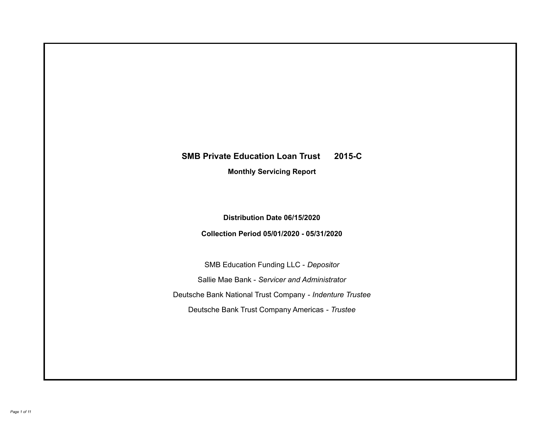# **SMB Private Education Loan Trust 2015-C Monthly Servicing Report**

**Distribution Date 06/15/2020**

**Collection Period 05/01/2020 - 05/31/2020**

SMB Education Funding LLC - *Depositor* Sallie Mae Bank - *Servicer and Administrator* Deutsche Bank National Trust Company - *Indenture Trustee* Deutsche Bank Trust Company Americas - *Trustee*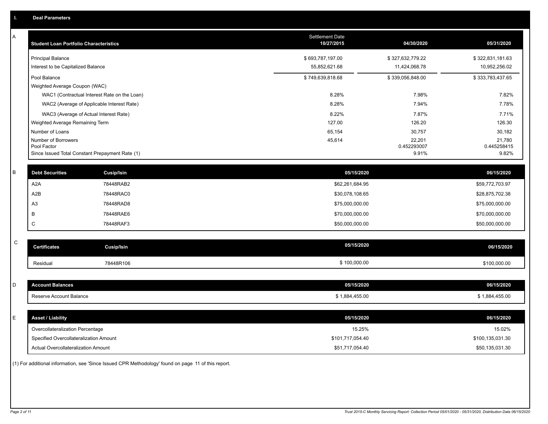| A           | <b>Student Loan Portfolio Characteristics</b>   |                   | Settlement Date<br>10/27/2015 | 04/30/2020       | 05/31/2020       |
|-------------|-------------------------------------------------|-------------------|-------------------------------|------------------|------------------|
|             | <b>Principal Balance</b>                        |                   | \$693,787,197.00              | \$327,632,779.22 | \$322,831,181.63 |
|             | Interest to be Capitalized Balance              |                   | 55,852,621.68                 | 11,424,068.78    | 10,952,256.02    |
|             | Pool Balance                                    |                   | \$749,639,818.68              | \$339,056,848.00 | \$333,783,437.65 |
|             | Weighted Average Coupon (WAC)                   |                   |                               |                  |                  |
|             | WAC1 (Contractual Interest Rate on the Loan)    |                   | 8.28%                         | 7.98%            | 7.82%            |
|             | WAC2 (Average of Applicable Interest Rate)      |                   | 8.28%                         | 7.94%            | 7.78%            |
|             | WAC3 (Average of Actual Interest Rate)          |                   | 8.22%                         | 7.87%            | 7.71%            |
|             | Weighted Average Remaining Term                 |                   | 127.00                        | 126.20           | 126.30           |
|             | Number of Loans<br>Number of Borrowers          |                   | 65,154<br>45,614              | 30,757<br>22,201 | 30,182<br>21,780 |
|             | Pool Factor                                     |                   |                               | 0.452293007      | 0.445258415      |
|             | Since Issued Total Constant Prepayment Rate (1) |                   |                               | 9.91%            | 9.82%            |
|             |                                                 |                   |                               |                  |                  |
| B           | <b>Debt Securities</b>                          | Cusip/Isin        | 05/15/2020                    |                  | 06/15/2020       |
|             | A <sub>2</sub> A                                | 78448RAB2         | \$62,261,684.95               |                  | \$59,772,703.97  |
|             | A <sub>2</sub> B                                | 78448RAC0         | \$30,078,108.65               |                  | \$28,875,702.38  |
|             | A <sub>3</sub>                                  | 78448RAD8         | \$75,000,000.00               |                  | \$75,000,000.00  |
|             | B                                               | 78448RAE6         | \$70,000,000.00               |                  | \$70,000,000.00  |
|             | C                                               | 78448RAF3         | \$50,000,000.00               |                  | \$50,000,000.00  |
|             |                                                 |                   |                               |                  |                  |
| $\mathsf C$ | <b>Certificates</b>                             | <b>Cusip/Isin</b> | 05/15/2020                    |                  | 06/15/2020       |
|             | Residual                                        | 78448R106         | \$100,000.00                  |                  | \$100,000.00     |
|             |                                                 |                   |                               |                  |                  |
| D           | <b>Account Balances</b>                         |                   | 05/15/2020                    |                  | 06/15/2020       |
|             | Reserve Account Balance                         |                   | \$1,884,455.00                |                  | \$1,884,455.00   |
|             |                                                 |                   |                               |                  |                  |
| E           | <b>Asset / Liability</b>                        |                   | 05/15/2020                    |                  | 06/15/2020       |
|             | Overcollateralization Percentage                |                   | 15.25%                        |                  | 15.02%           |
|             | Specified Overcollateralization Amount          |                   | \$101,717,054.40              |                  | \$100,135,031.30 |
|             | Actual Overcollateralization Amount             |                   | \$51,717,054.40               |                  | \$50,135,031.30  |
|             |                                                 |                   |                               |                  |                  |

(1) For additional information, see 'Since Issued CPR Methodology' found on page 11 of this report.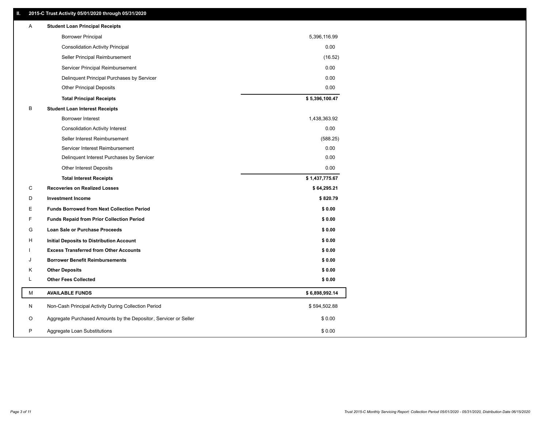## **II. 2015-C Trust Activity 05/01/2020 through 05/31/2020**

| <b>Borrower Principal</b><br>5,396,116.99<br>0.00<br><b>Consolidation Activity Principal</b><br>Seller Principal Reimbursement<br>(16.52)<br>Servicer Principal Reimbursement<br>0.00 |  |
|---------------------------------------------------------------------------------------------------------------------------------------------------------------------------------------|--|
|                                                                                                                                                                                       |  |
|                                                                                                                                                                                       |  |
|                                                                                                                                                                                       |  |
|                                                                                                                                                                                       |  |
| 0.00<br>Delinquent Principal Purchases by Servicer                                                                                                                                    |  |
| 0.00<br><b>Other Principal Deposits</b>                                                                                                                                               |  |
| \$5,396,100.47<br><b>Total Principal Receipts</b>                                                                                                                                     |  |
| B<br><b>Student Loan Interest Receipts</b>                                                                                                                                            |  |
| <b>Borrower Interest</b><br>1,438,363.92                                                                                                                                              |  |
| 0.00<br><b>Consolidation Activity Interest</b>                                                                                                                                        |  |
| Seller Interest Reimbursement<br>(588.25)                                                                                                                                             |  |
| Servicer Interest Reimbursement<br>0.00                                                                                                                                               |  |
| 0.00<br>Delinquent Interest Purchases by Servicer                                                                                                                                     |  |
| 0.00<br><b>Other Interest Deposits</b>                                                                                                                                                |  |
| \$1,437,775.67<br><b>Total Interest Receipts</b>                                                                                                                                      |  |
| C<br><b>Recoveries on Realized Losses</b><br>\$64,295.21                                                                                                                              |  |
| \$820.79<br>D<br><b>Investment Income</b>                                                                                                                                             |  |
| Е<br><b>Funds Borrowed from Next Collection Period</b><br>\$0.00                                                                                                                      |  |
| F<br><b>Funds Repaid from Prior Collection Period</b><br>\$0.00                                                                                                                       |  |
| G<br>\$0.00<br>Loan Sale or Purchase Proceeds                                                                                                                                         |  |
| \$0.00<br>н<br>Initial Deposits to Distribution Account                                                                                                                               |  |
| <b>Excess Transferred from Other Accounts</b><br>\$0.00                                                                                                                               |  |
| \$0.00<br><b>Borrower Benefit Reimbursements</b><br>J                                                                                                                                 |  |
| Κ<br><b>Other Deposits</b><br>\$0.00                                                                                                                                                  |  |
| L<br><b>Other Fees Collected</b><br>\$0.00                                                                                                                                            |  |
| M<br><b>AVAILABLE FUNDS</b><br>\$6,898,992.14                                                                                                                                         |  |
| N<br>Non-Cash Principal Activity During Collection Period<br>\$594,502.88                                                                                                             |  |
| Aggregate Purchased Amounts by the Depositor, Servicer or Seller<br>O<br>\$0.00                                                                                                       |  |
| P<br>Aggregate Loan Substitutions<br>\$0.00                                                                                                                                           |  |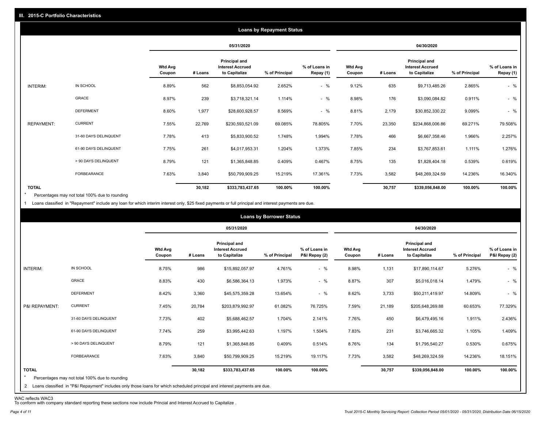|                   |                       |                          |         |                                                           | <b>Loans by Repayment Status</b> |                            |                   |         |                                                           |                |                            |
|-------------------|-----------------------|--------------------------|---------|-----------------------------------------------------------|----------------------------------|----------------------------|-------------------|---------|-----------------------------------------------------------|----------------|----------------------------|
|                   |                       |                          |         | 05/31/2020                                                |                                  |                            |                   |         | 04/30/2020                                                |                |                            |
|                   |                       | <b>Wtd Avg</b><br>Coupon | # Loans | Principal and<br><b>Interest Accrued</b><br>to Capitalize | % of Principal                   | % of Loans in<br>Repay (1) | Wtd Avg<br>Coupon | # Loans | Principal and<br><b>Interest Accrued</b><br>to Capitalize | % of Principal | % of Loans in<br>Repay (1) |
| INTERIM:          | IN SCHOOL             | 8.89%                    | 562     | \$8,853,054.92                                            | 2.652%                           | $-$ %                      | 9.12%             | 635     | \$9,713,485.26                                            | 2.865%         | $-$ %                      |
|                   | GRACE                 | 8.97%                    | 239     | \$3,718,321.14                                            | 1.114%                           | $-$ %                      | 8.98%             | 176     | \$3,090,084.82                                            | 0.911%         | $-$ %                      |
|                   | <b>DEFERMENT</b>      | 8.60%                    | 1,977   | \$28,600,928.57                                           | 8.569%                           | $-$ %                      | 8.81%             | 2,179   | \$30,852,330.22                                           | 9.099%         | $-$ %                      |
| <b>REPAYMENT:</b> | <b>CURRENT</b>        | 7.55%                    | 22,769  | \$230,593,521.09                                          | 69.085%                          | 78.805%                    | 7.70%             | 23,350  | \$234,868,006.86                                          | 69.271%        | 79.508%                    |
|                   | 31-60 DAYS DELINQUENT | 7.78%                    | 413     | \$5,833,900.52                                            | 1.748%                           | 1.994%                     | 7.78%             | 466     | \$6,667,358.46                                            | 1.966%         | 2.257%                     |
|                   | 61-90 DAYS DELINQUENT | 7.75%                    | 261     | \$4,017,953.31                                            | 1.204%                           | 1.373%                     | 7.85%             | 234     | \$3,767,853.61                                            | 1.111%         | 1.276%                     |
|                   | > 90 DAYS DELINQUENT  | 8.79%                    | 121     | \$1,365,848.85                                            | 0.409%                           | 0.467%                     | 8.75%             | 135     | \$1,828,404.18                                            | 0.539%         | 0.619%                     |
|                   | FORBEARANCE           | 7.63%                    | 3,840   | \$50,799,909.25                                           | 15.219%                          | 17.361%                    | 7.73%             | 3,582   | \$48,269,324.59                                           | 14.236%        | 16.340%                    |
| <b>TOTAL</b>      |                       |                          | 30,182  | \$333,783,437.65                                          | 100.00%                          | 100.00%                    |                   | 30,757  | \$339,056,848.00                                          | 100.00%        | 100.00%                    |

Percentages may not total 100% due to rounding  $\star$ 

1 Loans classified in "Repayment" include any loan for which interim interest only, \$25 fixed payments or full principal and interest payments are due.

|                         |                                                                                                                              |                          |         |                                                           | <b>Loans by Borrower Status</b> |                                |                          |         |                                                           |                |                                |
|-------------------------|------------------------------------------------------------------------------------------------------------------------------|--------------------------|---------|-----------------------------------------------------------|---------------------------------|--------------------------------|--------------------------|---------|-----------------------------------------------------------|----------------|--------------------------------|
|                         |                                                                                                                              |                          |         | 05/31/2020                                                |                                 |                                |                          |         | 04/30/2020                                                |                |                                |
|                         |                                                                                                                              | <b>Wtd Avg</b><br>Coupon | # Loans | Principal and<br><b>Interest Accrued</b><br>to Capitalize | % of Principal                  | % of Loans in<br>P&I Repay (2) | <b>Wtd Avg</b><br>Coupon | # Loans | Principal and<br><b>Interest Accrued</b><br>to Capitalize | % of Principal | % of Loans in<br>P&I Repay (2) |
| INTERIM:                | IN SCHOOL                                                                                                                    | 8.75%                    | 986     | \$15,892,057.97                                           | 4.761%                          | $-$ %                          | 8.98%                    | 1,131   | \$17,890,114.67                                           | 5.276%         | $-$ %                          |
|                         | GRACE                                                                                                                        | 8.83%                    | 430     | \$6,586,364.13                                            | 1.973%                          | $-$ %                          | 8.87%                    | 307     | \$5,016,018.14                                            | 1.479%         | $-$ %                          |
|                         | <b>DEFERMENT</b>                                                                                                             | 8.42%                    | 3,360   | \$45,575,359.28                                           | 13.654%                         | $-$ %                          | 8.62%                    | 3,733   | \$50,211,419.97                                           | 14.809%        | $-$ %                          |
| P&I REPAYMENT:          | <b>CURRENT</b>                                                                                                               | 7.45%                    | 20,784  | \$203,879,992.97                                          | 61.082%                         | 76.725%                        | 7.59%                    | 21,189  | \$205,648,269.88                                          | 60.653%        | 77.329%                        |
|                         | 31-60 DAYS DELINQUENT                                                                                                        | 7.73%                    | 402     | \$5,688,462.57                                            | 1.704%                          | 2.141%                         | 7.76%                    | 450     | \$6,479,495.16                                            | 1.911%         | 2.436%                         |
|                         | 61-90 DAYS DELINQUENT                                                                                                        | 7.74%                    | 259     | \$3,995,442.63                                            | 1.197%                          | 1.504%                         | 7.83%                    | 231     | \$3,746,665.32                                            | 1.105%         | 1.409%                         |
|                         | > 90 DAYS DELINQUENT                                                                                                         | 8.79%                    | 121     | \$1,365,848.85                                            | 0.409%                          | 0.514%                         | 8.76%                    | 134     | \$1,795,540.27                                            | 0.530%         | 0.675%                         |
|                         | FORBEARANCE                                                                                                                  | 7.63%                    | 3,840   | \$50,799,909.25                                           | 15.219%                         | 19.117%                        | 7.73%                    | 3,582   | \$48,269,324.59                                           | 14.236%        | 18.151%                        |
| <b>TOTAL</b><br>$\star$ | Percentages may not total 100% due to rounding                                                                               |                          | 30,182  | \$333,783,437.65                                          | 100.00%                         | 100.00%                        |                          | 30,757  | \$339,056,848.00                                          | 100.00%        | 100.00%                        |
|                         | 2 Loans classified in "P&I Repayment" includes only those loans for which scheduled principal and interest payments are due. |                          |         |                                                           |                                 |                                |                          |         |                                                           |                |                                |

WAC reflects WAC3 To conform with company standard reporting these sections now include Princial and Interest Accrued to Capitalize .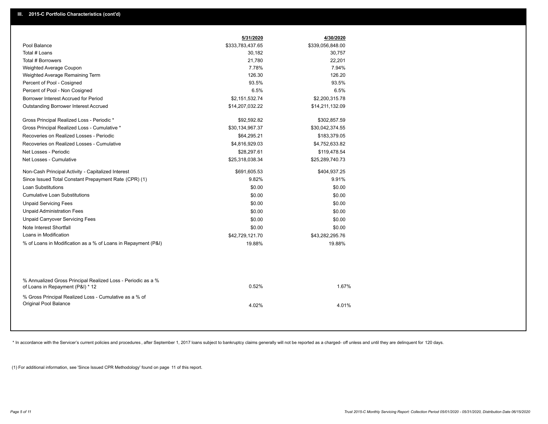|                                                                                                  | 5/31/2020        | 4/30/2020        |
|--------------------------------------------------------------------------------------------------|------------------|------------------|
| Pool Balance                                                                                     | \$333,783,437.65 | \$339,056,848.00 |
| Total # Loans                                                                                    | 30,182           | 30,757           |
| Total # Borrowers                                                                                | 21,780           | 22,201           |
| Weighted Average Coupon                                                                          | 7.78%            | 7.94%            |
| Weighted Average Remaining Term                                                                  | 126.30           | 126.20           |
| Percent of Pool - Cosigned                                                                       | 93.5%            | 93.5%            |
| Percent of Pool - Non Cosigned                                                                   | 6.5%             | 6.5%             |
| Borrower Interest Accrued for Period                                                             | \$2,151,532.74   | \$2,200,315.78   |
| <b>Outstanding Borrower Interest Accrued</b>                                                     | \$14,207,032.22  | \$14,211,132.09  |
| Gross Principal Realized Loss - Periodic *                                                       | \$92,592.82      | \$302,857.59     |
| Gross Principal Realized Loss - Cumulative *                                                     | \$30,134,967.37  | \$30,042,374.55  |
| Recoveries on Realized Losses - Periodic                                                         | \$64,295.21      | \$183,379.05     |
| Recoveries on Realized Losses - Cumulative                                                       | \$4,816,929.03   | \$4,752,633.82   |
| Net Losses - Periodic                                                                            | \$28,297.61      | \$119,478.54     |
| Net Losses - Cumulative                                                                          | \$25,318,038.34  | \$25,289,740.73  |
| Non-Cash Principal Activity - Capitalized Interest                                               | \$691,605.53     | \$404,937.25     |
| Since Issued Total Constant Prepayment Rate (CPR) (1)                                            | 9.82%            | 9.91%            |
| <b>Loan Substitutions</b>                                                                        | \$0.00           | \$0.00           |
| <b>Cumulative Loan Substitutions</b>                                                             | \$0.00           | \$0.00           |
| <b>Unpaid Servicing Fees</b>                                                                     | \$0.00           | \$0.00           |
| <b>Unpaid Administration Fees</b>                                                                | \$0.00           | \$0.00           |
| <b>Unpaid Carryover Servicing Fees</b>                                                           | \$0.00           | \$0.00           |
| Note Interest Shortfall                                                                          | \$0.00           | \$0.00           |
| Loans in Modification                                                                            | \$42,729,121.70  | \$43,282,295.76  |
| % of Loans in Modification as a % of Loans in Repayment (P&I)                                    | 19.88%           | 19.88%           |
|                                                                                                  |                  |                  |
| % Annualized Gross Principal Realized Loss - Periodic as a %<br>of Loans in Repayment (P&I) * 12 | 0.52%            | 1.67%            |
| % Gross Principal Realized Loss - Cumulative as a % of<br>Original Pool Balance                  | 4.02%            | 4.01%            |
|                                                                                                  |                  |                  |

\* In accordance with the Servicer's current policies and procedures, after September 1, 2017 loans subject to bankruptcy claims generally will not be reported as a charged- off unless and until they are delinquent for 120

(1) For additional information, see 'Since Issued CPR Methodology' found on page 11 of this report.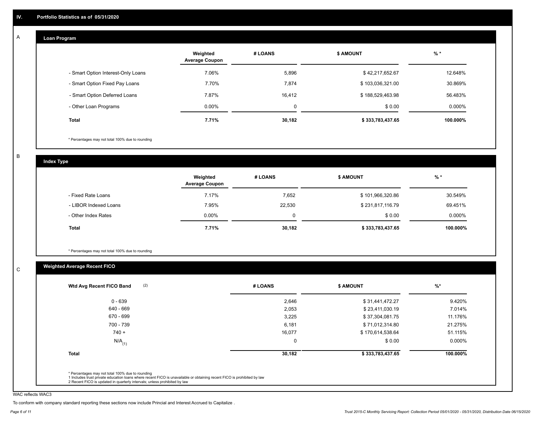#### **Loan Program**  A

|                                    | Weighted<br><b>Average Coupon</b> | # LOANS | <b>\$ AMOUNT</b> | $%$ *    |
|------------------------------------|-----------------------------------|---------|------------------|----------|
| - Smart Option Interest-Only Loans | 7.06%                             | 5,896   | \$42,217,652.67  | 12.648%  |
| - Smart Option Fixed Pay Loans     | 7.70%                             | 7,874   | \$103,036,321.00 | 30.869%  |
| - Smart Option Deferred Loans      | 7.87%                             | 16.412  | \$188,529,463.98 | 56.483%  |
| - Other Loan Programs              | $0.00\%$                          | 0       | \$0.00           | 0.000%   |
| <b>Total</b>                       | 7.71%                             | 30,182  | \$333,783,437.65 | 100.000% |

\* Percentages may not total 100% due to rounding

B

C

**Index Type**

|                       | Weighted<br><b>Average Coupon</b> | # LOANS | <b>\$ AMOUNT</b> | $%$ *    |
|-----------------------|-----------------------------------|---------|------------------|----------|
| - Fixed Rate Loans    | 7.17%                             | 7,652   | \$101,966,320.86 | 30.549%  |
| - LIBOR Indexed Loans | 7.95%                             | 22,530  | \$231,817,116.79 | 69.451%  |
| - Other Index Rates   | $0.00\%$                          | 0       | \$0.00           | 0.000%   |
| Total                 | 7.71%                             | 30,182  | \$333,783,437.65 | 100.000% |

\* Percentages may not total 100% due to rounding

# **Weighted Average Recent FICO**

| $0 - 639$            | 2,646    | \$31,441,472.27  | 9.420%    |
|----------------------|----------|------------------|-----------|
| 640 - 669            | 2,053    | \$23,411,030.19  | 7.014%    |
| 670 - 699            | 3,225    | \$37,304,081.75  | 11.176%   |
| 700 - 739            | 6,181    | \$71,012,314.80  | 21.275%   |
| $740 +$              | 16,077   | \$170,614,538.64 | 51.115%   |
| $N/A$ <sub>(1)</sub> | $\Omega$ | \$0.00           | $0.000\%$ |
| <b>Total</b>         | 30,182   | \$333,783,437.65 | 100.000%  |

WAC reflects WAC3

To conform with company standard reporting these sections now include Princial and Interest Accrued to Capitalize .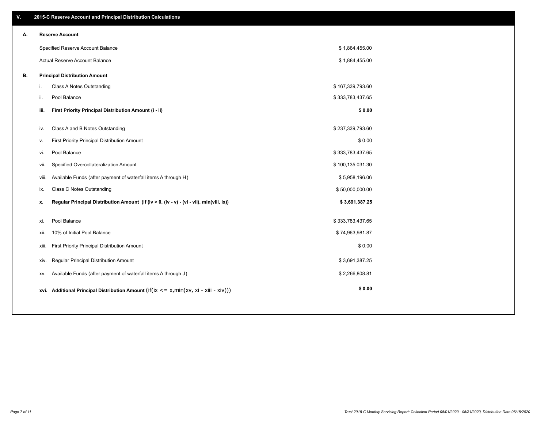| V. |       | 2015-C Reserve Account and Principal Distribution Calculations                             |                  |  |
|----|-------|--------------------------------------------------------------------------------------------|------------------|--|
| А. |       | <b>Reserve Account</b>                                                                     |                  |  |
|    |       | Specified Reserve Account Balance                                                          | \$1,884,455.00   |  |
|    |       | Actual Reserve Account Balance                                                             | \$1,884,455.00   |  |
| В. |       | <b>Principal Distribution Amount</b>                                                       |                  |  |
|    | i.    | Class A Notes Outstanding                                                                  | \$167,339,793.60 |  |
|    | ii.   | Pool Balance                                                                               | \$333,783,437.65 |  |
|    | iii.  | First Priority Principal Distribution Amount (i - ii)                                      | \$0.00           |  |
|    | iv.   | Class A and B Notes Outstanding                                                            | \$237,339,793.60 |  |
|    | v.    | First Priority Principal Distribution Amount                                               | \$0.00           |  |
|    | vi.   | Pool Balance                                                                               | \$333,783,437.65 |  |
|    | vii.  | Specified Overcollateralization Amount                                                     | \$100,135,031.30 |  |
|    | viii. | Available Funds (after payment of waterfall items A through H)                             | \$5,958,196.06   |  |
|    | ix.   | <b>Class C Notes Outstanding</b>                                                           | \$50,000,000.00  |  |
|    | x.    | Regular Principal Distribution Amount (if (iv > 0, (iv - v) - (vi - vii), min(viii, ix))   | \$3,691,387.25   |  |
|    |       |                                                                                            |                  |  |
|    | xi.   | Pool Balance                                                                               | \$333,783,437.65 |  |
|    | xii.  | 10% of Initial Pool Balance                                                                | \$74,963,981.87  |  |
|    | xiii. | First Priority Principal Distribution Amount                                               | \$0.00           |  |
|    | XIV.  | Regular Principal Distribution Amount                                                      | \$3,691,387.25   |  |
|    | XV.   | Available Funds (after payment of waterfall items A through J)                             | \$2,266,808.81   |  |
|    |       | xvi. Additional Principal Distribution Amount (if(ix $\lt$ = x, min(xv, xi - xiii - xiv))) | \$0.00           |  |
|    |       |                                                                                            |                  |  |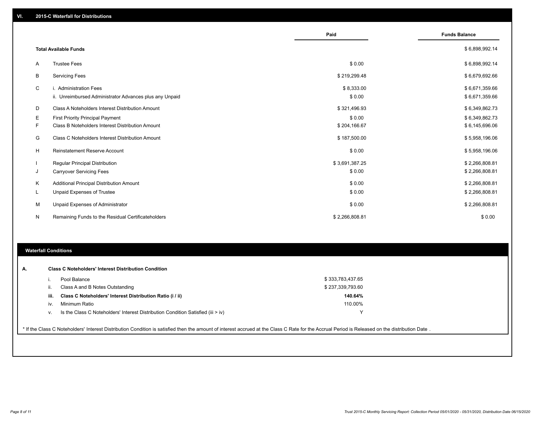|    |                                                         | Paid           | <b>Funds Balance</b> |
|----|---------------------------------------------------------|----------------|----------------------|
|    | <b>Total Available Funds</b>                            |                | \$6,898,992.14       |
| A  | <b>Trustee Fees</b>                                     | \$0.00         | \$6,898,992.14       |
| В  | <b>Servicing Fees</b>                                   | \$219,299.48   | \$6,679,692.66       |
| C  | i. Administration Fees                                  | \$8,333.00     | \$6,671,359.66       |
|    | ii. Unreimbursed Administrator Advances plus any Unpaid | \$0.00         | \$6,671,359.66       |
| D  | Class A Noteholders Interest Distribution Amount        | \$321,496.93   | \$6,349,862.73       |
| E. | First Priority Principal Payment                        | \$0.00         | \$6,349,862.73       |
| F. | Class B Noteholders Interest Distribution Amount        | \$204,166.67   | \$6,145,696.06       |
| G  | <b>Class C Noteholders Interest Distribution Amount</b> | \$187,500.00   | \$5,958,196.06       |
| H  | Reinstatement Reserve Account                           | \$0.00         | \$5,958,196.06       |
|    | Regular Principal Distribution                          | \$3,691,387.25 | \$2,266,808.81       |
| J  | <b>Carryover Servicing Fees</b>                         | \$0.00         | \$2,266,808.81       |
| Κ  | Additional Principal Distribution Amount                | \$0.00         | \$2,266,808.81       |
| L  | Unpaid Expenses of Trustee                              | \$0.00         | \$2,266,808.81       |
| м  | Unpaid Expenses of Administrator                        | \$0.00         | \$2,266,808.81       |
| N  | Remaining Funds to the Residual Certificateholders      | \$2,266,808.81 | \$0.00               |

# **Waterfall Conditions**

|      | Pool Balance                                                                     | \$333,783,437.65 |  |
|------|----------------------------------------------------------------------------------|------------------|--|
|      | Class A and B Notes Outstanding                                                  | \$237,339,793.60 |  |
| iii. | Class C Noteholders' Interest Distribution Ratio (i / ii)                        | 140.64%          |  |
| iv.  | Minimum Ratio                                                                    | 110.00%          |  |
|      | Is the Class C Noteholders' Interest Distribution Condition Satisfied (iii > iv) | $\checkmark$     |  |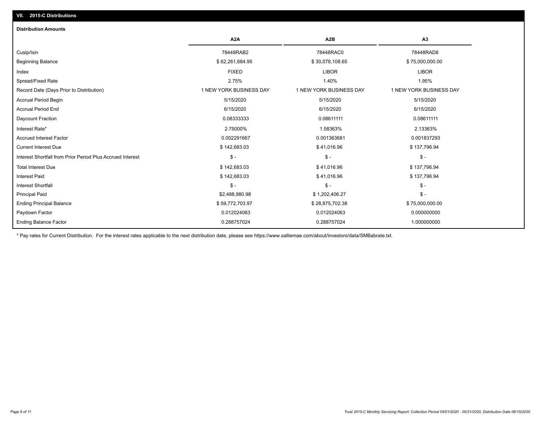# **VII. 2015-C Distributions**

| <b>Distribution Amounts</b>                                |                         |                         |                         |
|------------------------------------------------------------|-------------------------|-------------------------|-------------------------|
|                                                            | A <sub>2</sub> A        | A <sub>2</sub> B        | A3                      |
| Cusip/Isin                                                 | 78448RAB2               | 78448RAC0               | 78448RAD8               |
| <b>Beginning Balance</b>                                   | \$62,261,684.95         | \$30,078,108.65         | \$75,000,000.00         |
| Index                                                      | <b>FIXED</b>            | <b>LIBOR</b>            | <b>LIBOR</b>            |
| Spread/Fixed Rate                                          | 2.75%                   | 1.40%                   | 1.95%                   |
| Record Date (Days Prior to Distribution)                   | 1 NEW YORK BUSINESS DAY | 1 NEW YORK BUSINESS DAY | 1 NEW YORK BUSINESS DAY |
| <b>Accrual Period Begin</b>                                | 5/15/2020               | 5/15/2020               | 5/15/2020               |
| <b>Accrual Period End</b>                                  | 6/15/2020               | 6/15/2020               | 6/15/2020               |
| Daycount Fraction                                          | 0.08333333              | 0.08611111              | 0.08611111              |
| Interest Rate*                                             | 2.75000%                | 1.58363%                | 2.13363%                |
| <b>Accrued Interest Factor</b>                             | 0.002291667             | 0.001363681             | 0.001837293             |
| <b>Current Interest Due</b>                                | \$142,683.03            | \$41,016.96             | \$137,796.94            |
| Interest Shortfall from Prior Period Plus Accrued Interest | $\mathsf{\$}$ -         | $$ -$                   | $\mathsf{\$}$ -         |
| <b>Total Interest Due</b>                                  | \$142,683.03            | \$41,016.96             | \$137,796.94            |
| <b>Interest Paid</b>                                       | \$142,683.03            | \$41,016.96             | \$137,796.94            |
| <b>Interest Shortfall</b>                                  | $\mathcal{S}$ -         | $$ -$                   | $\mathsf{\$}$ -         |
| <b>Principal Paid</b>                                      | \$2,488,980.98          | \$1,202,406.27          | $\mathsf{\$}$ -         |
| <b>Ending Principal Balance</b>                            | \$59,772,703.97         | \$28,875,702.38         | \$75,000,000.00         |
| Paydown Factor                                             | 0.012024063             | 0.012024063             | 0.000000000             |
| <b>Ending Balance Factor</b>                               | 0.288757024             | 0.288757024             | 1.000000000             |

\* Pay rates for Current Distribution. For the interest rates applicable to the next distribution date, please see https://www.salliemae.com/about/investors/data/SMBabrate.txt.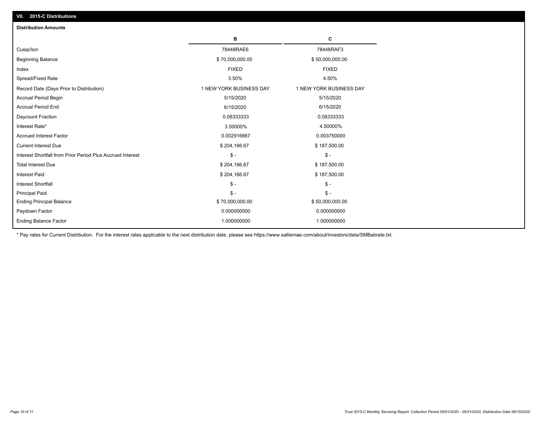| <b>Distribution Amounts</b>                                |                         |                         |
|------------------------------------------------------------|-------------------------|-------------------------|
|                                                            | в                       | C                       |
| Cusip/Isin                                                 | 78448RAE6               | 78448RAF3               |
| <b>Beginning Balance</b>                                   | \$70,000,000.00         | \$50,000,000.00         |
| Index                                                      | <b>FIXED</b>            | <b>FIXED</b>            |
| Spread/Fixed Rate                                          | 3.50%                   | 4.50%                   |
| Record Date (Days Prior to Distribution)                   | 1 NEW YORK BUSINESS DAY | 1 NEW YORK BUSINESS DAY |
| <b>Accrual Period Begin</b>                                | 5/15/2020               | 5/15/2020               |
| <b>Accrual Period End</b>                                  | 6/15/2020               | 6/15/2020               |
| Daycount Fraction                                          | 0.08333333              | 0.08333333              |
| Interest Rate*                                             | 3.50000%                | 4.50000%                |
| <b>Accrued Interest Factor</b>                             | 0.002916667             | 0.003750000             |
| <b>Current Interest Due</b>                                | \$204,166.67            | \$187,500.00            |
| Interest Shortfall from Prior Period Plus Accrued Interest | $\mathsf{\$}$ -         | $\mathsf{\$}$ -         |
| <b>Total Interest Due</b>                                  | \$204,166.67            | \$187,500.00            |
| <b>Interest Paid</b>                                       | \$204,166.67            | \$187,500.00            |
| <b>Interest Shortfall</b>                                  | $\mathsf{\$}$ -         | $\mathsf{\$}$ -         |
| <b>Principal Paid</b>                                      | $\mathsf{\$}$ -         | $\mathsf{\$}$ -         |
| <b>Ending Principal Balance</b>                            | \$70,000,000.00         | \$50,000,000.00         |
| Paydown Factor                                             | 0.000000000             | 0.000000000             |
| <b>Ending Balance Factor</b>                               | 1.000000000             | 1.000000000             |

\* Pay rates for Current Distribution. For the interest rates applicable to the next distribution date, please see https://www.salliemae.com/about/investors/data/SMBabrate.txt.

**VII. 2015-C Distributions**